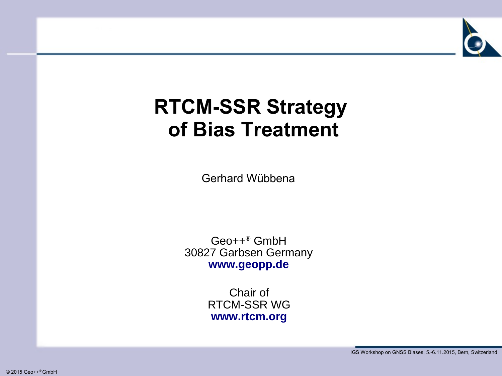

# **RTCM-SSR Strategy of Bias Treatment**

Gerhard Wübbena

Geo++® GmbH 30827 Garbsen Germany **[www.geopp.de](http://www.geopp.com/)**

> Chair of RTCM-SSR WG **[www.rtcm.org](http://www.rtcm.org/)**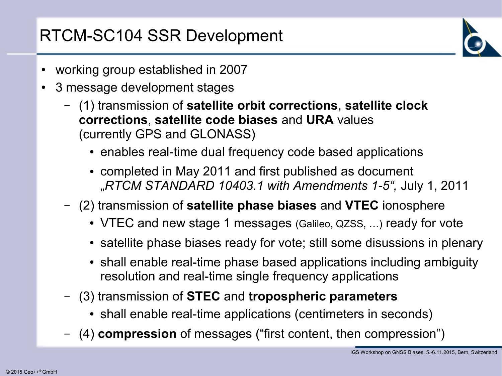### RTCM-SC104 SSR Development

- working group established in 2007
- 3 message development stages
	- (1) transmission of **satellite orbit corrections**, **satellite clock corrections**, **satellite code biases** and **URA** values (currently GPS and GLONASS)
		- enables real-time dual frequency code based applications
		- completed in May 2011 and first published as document "*RTCM STANDARD 10403.1 with Amendments 1-5",* July 1, 2011
	- (2) transmission of **satellite phase biases** and **VTEC** ionosphere
		- VTEC and new stage 1 messages (Galileo, QZSS, ...) ready for vote
		- satellite phase biases ready for vote; still some disussions in plenary
		- shall enable real-time phase based applications including ambiguity resolution and real-time single frequency applications
	- (3) transmission of **STEC** and **tropospheric parameters**
		- shall enable real-time applications (centimeters in seconds)
	- (4) **compression** of messages ("first content, then compression")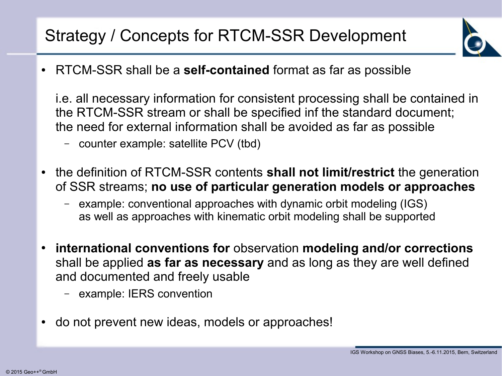## Strategy / Concepts for RTCM-SSR Development



● RTCM-SSR shall be a **self-contained** format as far as possible

i.e. all necessary information for consistent processing shall be contained in the RTCM-SSR stream or shall be specified inf the standard document; the need for external information shall be avoided as far as possible

- counter example: satellite PCV (tbd)
- the definition of RTCM-SSR contents **shall not limit/restrict** the generation of SSR streams; **no use of particular generation models or approaches**
	- example: conventional approaches with dynamic orbit modeling (IGS) as well as approaches with kinematic orbit modeling shall be supported
- **international conventions for** observation **modeling and/or corrections** shall be applied **as far as necessary** and as long as they are well defined and documented and freely usable
	- example: IERS convention
- do not prevent new ideas, models or approaches!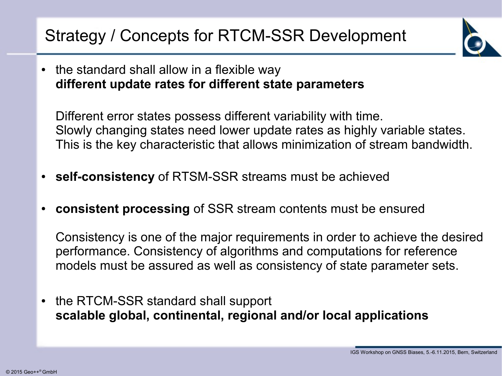## Strategy / Concepts for RTCM-SSR Development



• the standard shall allow in a flexible way **different update rates for different state parameters**

Different error states possess different variability with time. Slowly changing states need lower update rates as highly variable states. This is the key characteristic that allows minimization of stream bandwidth.

- **self-consistency** of RTSM-SSR streams must be achieved
- **consistent processing** of SSR stream contents must be ensured

Consistency is one of the major requirements in order to achieve the desired performance. Consistency of algorithms and computations for reference models must be assured as well as consistency of state parameter sets.

• the RTCM-SSR standard shall support **scalable global, continental, regional and/or local applications**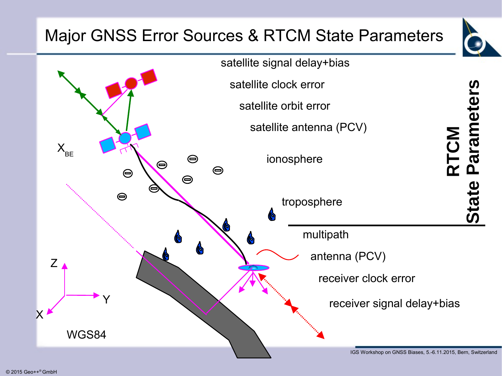## Major GNSS Error Sources & RTCM State Parameters



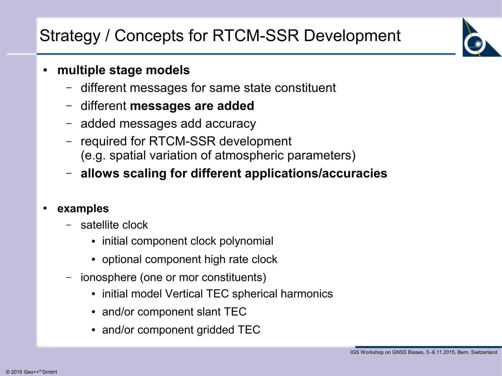## Strategy / Concepts for RTCM-SSR Development

#### ● **multiple stage models**

- different messages for same state constituent
- different **messages are added**
- added messages add accuracy
- required for RTCM-SSR development (e.g. spatial variation of atmospheric parameters)
- **allows scaling for different applications/accuracies**

#### ● **examples**

- satellite clock
	- initial component clock polynomial
	- optional component high rate clock
- ionosphere (one or mor constituents)
	- initial model Vertical TEC spherical harmonics
	- and/or component slant TEC
	- and/or component gridded TEC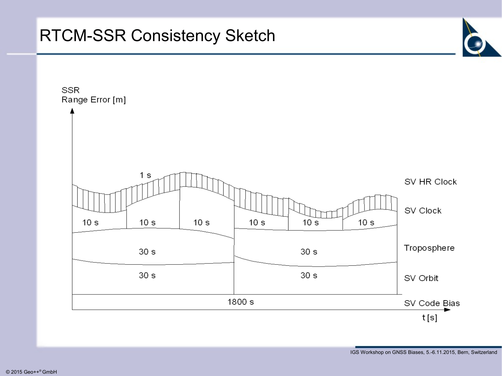#### RTCM-SSR Consistency Sketch

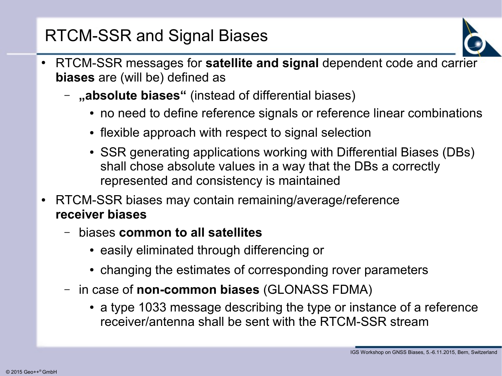### RTCM-SSR and Signal Biases

- RTCM-SSR messages for **satellite and signal** dependent code and carrier **biases** are (will be) defined as
	- "absolute biases" (instead of differential biases)
		- no need to define reference signals or reference linear combinations
		- flexible approach with respect to signal selection
		- SSR generating applications working with Differential Biases (DBs) shall chose absolute values in a way that the DBs a correctly represented and consistency is maintained
- RTCM-SSR biases may contain remaining/average/reference **receiver biases**
	- biases **common to all satellites**
		- easily eliminated through differencing or
		- changing the estimates of corresponding rover parameters
	- in case of **non-common biases** (GLONASS FDMA)
		- a type 1033 message describing the type or instance of a reference receiver/antenna shall be sent with the RTCM-SSR stream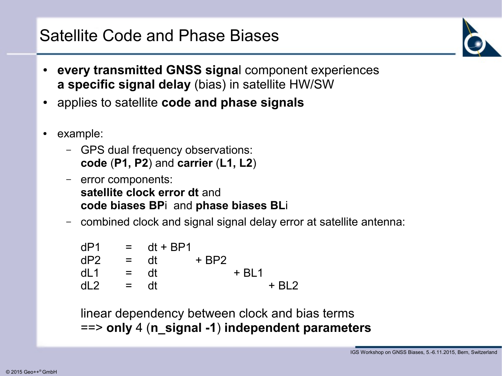

- **every transmitted GNSS signal component experiences a specific signal delay** (bias) in satellite HW/SW
- applies to satellite **code and phase signals**
- example:
	- GPS dual frequency observations: **code** (**P1, P2**) and **carrier** (**L1, L2**)
	- error components: **satellite clock error dt** and **code biases BP**i and **phase biases BL**i
	- combined clock and signal signal delay error at satellite antenna:

 $dP1 = dt + BP1$  $dP2 = dt + BP2$  $dL1 = dt + BL1$  $dl2 = dt + Bl2$ 

linear dependency between clock and bias terms ==> **only** 4 (**n\_signal -1**) **independent parameters**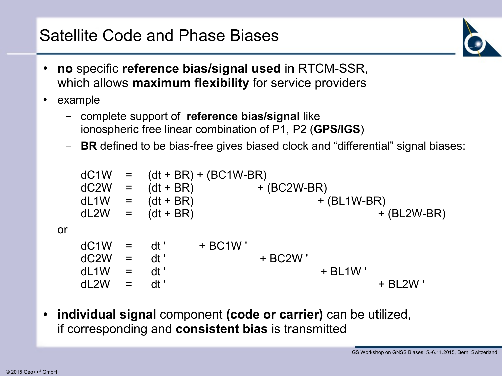

- **no** specific **reference bias/signal used** in RTCM-SSR, which allows **maximum flexibility** for service providers
- example
	- complete support of **reference bias/signal** like ionospheric free linear combination of P1, P2 (**GPS/IGS**)
	- **BR** defined to be bias-free gives biased clock and "differential" signal biases:

 $dC1W = (dt + BR) + (BC1W-BR)$  $dC2W = (dt + BR)$  + (BC2W-BR) dL1W =  $(dt + BR)$  +  $(HL1W-BR)$  $dL2W = (dt + BR)$  + (BL2W-BR) or  $dC1W = dt' + BC1W'$  $dC2W = dt'$  + BC2W  $dl_1W = dt'$  + BL1W '  $dL2W = dt'$  + BL2W '

● **individual signal** component **(code or carrier)** can be utilized, if corresponding and **consistent bias** is transmitted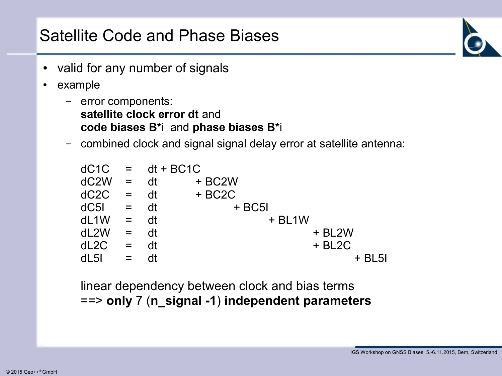- valid for any number of signals
- example
	- error components: **satellite clock error dt** and **code biases B\***i and **phase biases B\***i
	- combined clock and signal signal delay error at satellite antenna:

| $dC1C = dt + BC1C$ |                           |    |             |
|--------------------|---------------------------|----|-------------|
| $dC2W =$           |                           | dt | + BC2W      |
| dC2C               | $=$ dt                    |    | $+ B C 2 C$ |
| $dC5I = dt$        |                           |    | $+ BCSI$    |
| dL1W               | $=$ dt                    |    | $+$ BL1W    |
| dL2W               | $=$ dt                    |    | + BL2W      |
| dL2C               | $\mathbf{r} = \mathbf{r}$ | dt | $+$ BL2C    |
| dL5I               | $=$                       |    | $+$ BL5I    |

linear dependency between clock and bias terms ==> **only** 7 (**n\_signal -1**) **independent parameters**

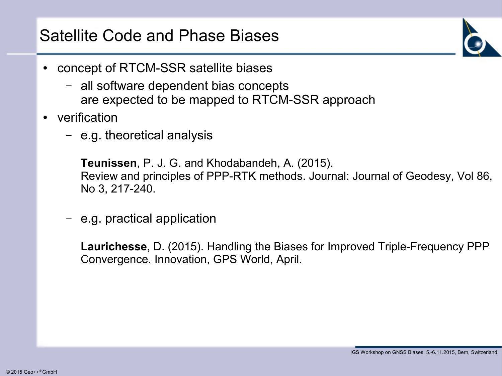- concept of RTCM-SSR satellite biases
	- all software dependent bias concepts are expected to be mapped to RTCM-SSR approach
- verification
	- e.g. theoretical analysis

**Teunissen**, P. J. G. and Khodabandeh, A. (2015). Review and principles of PPP-RTK methods. Journal: Journal of Geodesy, Vol 86, No 3, 217-240.

– e.g. practical application

**Laurichesse**, D. (2015). Handling the Biases for Improved Triple-Frequency PPP Convergence. Innovation, GPS World, April.